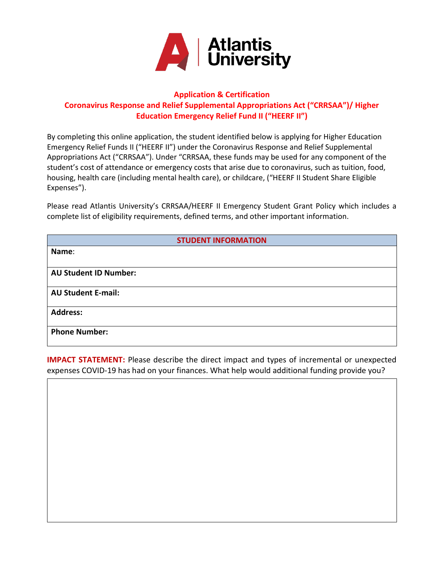

## **Application & Certification Coronavirus Response and Relief Supplemental Appropriations Act ("CRRSAA")/ Higher Education Emergency Relief Fund II ("HEERF II")**

By completing this online application, the student identified below is applying for Higher Education Emergency Relief Funds II ("HEERF II") under the Coronavirus Response and Relief Supplemental Appropriations Act ("CRRSAA"). Under "CRRSAA, these funds may be used for any component of the student's cost of attendance or emergency costs that arise due to coronavirus, such as tuition, food, housing, health care (including mental health care), or childcare, ("HEERF II Student Share Eligible Expenses").

Please read Atlantis University's CRRSAA/HEERF II Emergency Student Grant Policy which includes a complete list of eligibility requirements, defined terms, and other important information.

| <b>STUDENT INFORMATION</b>   |  |  |
|------------------------------|--|--|
| Name:                        |  |  |
|                              |  |  |
| <b>AU Student ID Number:</b> |  |  |
| <b>AU Student E-mail:</b>    |  |  |
| <b>Address:</b>              |  |  |
| <b>Phone Number:</b>         |  |  |

**IMPACT STATEMENT:** Please describe the direct impact and types of incremental or unexpected expenses COVID-19 has had on your finances. What help would additional funding provide you?